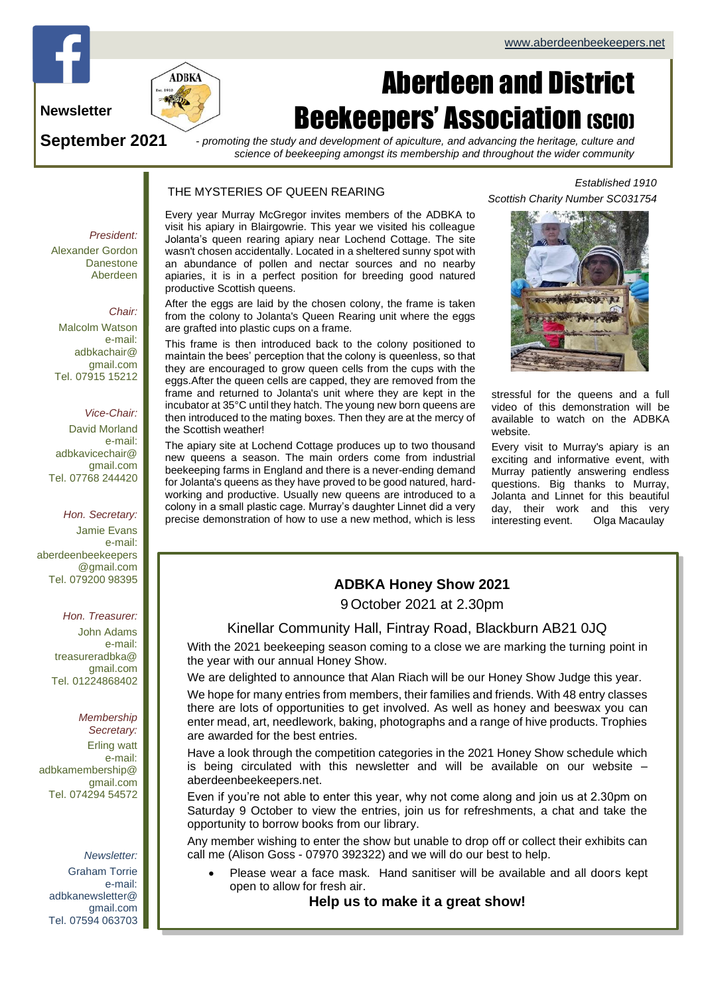

# **Newsletter**

**September 2021**

# Aberdeen and District **Beekeepers' Association (SCIO)**

*- promoting the study and development of apiculture, and advancing the heritage, culture and science of beekeeping amongst its membership and throughout the wider community*

### THE MYSTERIES OF QUEEN REARING

Every year Murray McGregor invites members of the ADBKA to visit his apiary in Blairgowrie. This year we visited his colleague Jolanta's queen rearing apiary near Lochend Cottage. The site wasn't chosen accidentally. Located in a sheltered sunny spot with an abundance of pollen and nectar sources and no nearby apiaries, it is in a perfect position for breeding good natured productive Scottish queens.

After the eggs are laid by the chosen colony, the frame is taken from the colony to Jolanta's Queen Rearing unit where the eggs are grafted into plastic cups on a frame.

This frame is then introduced back to the colony positioned to maintain the bees' perception that the colony is queenless, so that they are encouraged to grow queen cells from the cups with the eggs.After the queen cells are capped, they are removed from the frame and returned to Jolanta's unit where they are kept in the incubator at 35°C until they hatch. The young new born queens are then introduced to the mating boxes. Then they are at the mercy of the Scottish weather!

The apiary site at Lochend Cottage produces up to two thousand new queens a season. The main orders come from industrial beekeeping farms in England and there is a never-ending demand for Jolanta's queens as they have proved to be good natured, hardworking and productive. Usually new queens are introduced to a colony in a small plastic cage. Murray's daughter Linnet did a very precise demonstration of how to use a new method, which is less

# *Established 1910 Scottish Charity Number SC031754*



stressful for the queens and a full video of this demonstration will be available to watch on the ADBKA website.

Every visit to Murray's apiary is an exciting and informative event, with Murray patiently answering endless questions. Big thanks to Murray, Jolanta and Linnet for this beautiful day, their work and this very interesting event. Olga Macaulay

# **ADBKA Honey Show 2021**

9 October 2021 at 2.30pm

# Kinellar Community Hall, Fintray Road, Blackburn AB21 0JQ

With the 2021 beekeeping season coming to a close we are marking the turning point in the year with our annual Honey Show.

We are delighted to announce that Alan Riach will be our Honey Show Judge this year.

We hope for many entries from members, their families and friends. With 48 entry classes there are lots of opportunities to get involved. As well as honey and beeswax you can enter mead, art, needlework, baking, photographs and a range of hive products. Trophies are awarded for the best entries.

Have a look through the competition categories in the 2021 Honey Show schedule which is being circulated with this newsletter and will be available on our website – aberdeenbeekeepers.net.

Even if you're not able to enter this year, why not come along and join us at 2.30pm on Saturday 9 October to view the entries, join us for refreshments, a chat and take the opportunity to borrow books from our library.

Any member wishing to enter the show but unable to drop off or collect their exhibits can call me (Alison Goss - 07970 392322) and we will do our best to help.

• Please wear a face mask. Hand sanitiser will be available and all doors kept open to allow for fresh air.

**Help us to make it a great show!**

*President:* Alexander Gordon **Danestone** Aberdeen

### *Chair:*

Malcolm Watson e-mail: adbkachair@ gmail.com Tel. 07915 15212

### *Vice-Chair:*

David Morland e-mail: adbkavicechair@ gmail.com Tel. 07768 244420

*Hon. Secretary:*

Jamie Evans e-mail: [aberdeenbeekeepers](mailto:aberdeenbeekeepers@gmail.com) [@gmail.com](mailto:aberdeenbeekeepers@gmail.com) Tel. 079200 98395

#### *Hon. Treasurer:*

John Adams e-mail: treasureradbka@ gmail.com Tel. 01224868402

# *Membership*

*Secretary:*  Erling watt e-mail: adbkamembership@ gmail.com Tel. 074294 54572

#### *Newsletter:*

Graham Torrie e-mail: adbkanewsletter@ gmail.com Tel. 07594 063703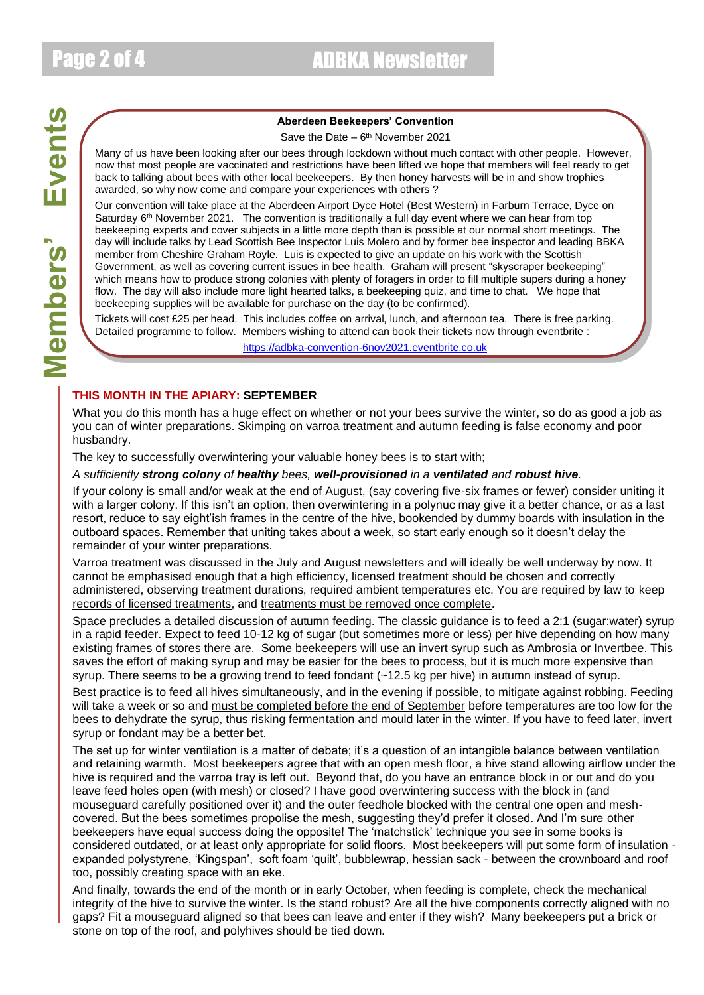Page 2 of 4 ADBKA Newsletter

### **Aberdeen Beekeepers' Convention**

Save the Date – 6<sup>th</sup> November 2021

Many of us have been looking after our bees through lockdown without much contact with other people. However, now that most people are vaccinated and restrictions have been lifted we hope that members will feel ready to get back to talking about bees with other local beekeepers. By then honey harvests will be in and show trophies awarded, so why now come and compare your experiences with others ?

Our convention will take place at the Aberdeen Airport Dyce Hotel (Best Western) in Farburn Terrace, Dyce on Saturday  $6<sup>th</sup>$  November 2021. The convention is traditionally a full day event where we can hear from top beekeeping experts and cover subjects in a little more depth than is possible at our normal short meetings. The day will include talks by Lead Scottish Bee Inspector Luis Molero and by former bee inspector and leading BBKA member from Cheshire Graham Royle. Luis is expected to give an update on his work with the Scottish Government, as well as covering current issues in bee health. Graham will present "skyscraper beekeeping" which means how to produce strong colonies with plenty of foragers in order to fill multiple supers during a honey flow. The day will also include more light hearted talks, a beekeeping quiz, and time to chat. We hope that beekeeping supplies will be available for purchase on the day (to be confirmed).

Tickets will cost £25 per head. This includes coffee on arrival, lunch, and afternoon tea. There is free parking. Detailed programme to follow. Members wishing to attend can book their tickets now through eventbrite : [https://adbka-convention-6nov2021.eventbrite.co.uk](https://adbka-convention-6nov2021.eventbrite.co.uk/)

## **THIS MONTH IN THE APIARY: SEPTEMBER**

What you do this month has a huge effect on whether or not your bees survive the winter, so do as good a job as you can of winter preparations. Skimping on varroa treatment and autumn feeding is false economy and poor husbandry.

The key to successfully overwintering your valuable honey bees is to start with;

### *A sufficiently strong colony of healthy bees, well-provisioned in a ventilated and robust hive.*

If your colony is small and/or weak at the end of August, (say covering five-six frames or fewer) consider uniting it with a larger colony. If this isn't an option, then overwintering in a polynuc may give it a better chance, or as a last resort, reduce to say eight'ish frames in the centre of the hive, bookended by dummy boards with insulation in the outboard spaces. Remember that uniting takes about a week, so start early enough so it doesn't delay the remainder of your winter preparations.

Varroa treatment was discussed in the July and August newsletters and will ideally be well underway by now. It cannot be emphasised enough that a high efficiency, licensed treatment should be chosen and correctly administered, observing treatment durations, required ambient temperatures etc. You are required by law to keep records of licensed treatments, and treatments must be removed once complete.

Space precludes a detailed discussion of autumn feeding. The classic guidance is to feed a 2:1 (sugar:water) syrup in a rapid feeder. Expect to feed 10-12 kg of sugar (but sometimes more or less) per hive depending on how many existing frames of stores there are. Some beekeepers will use an invert syrup such as Ambrosia or Invertbee. This saves the effort of making syrup and may be easier for the bees to process, but it is much more expensive than syrup. There seems to be a growing trend to feed fondant (~12.5 kg per hive) in autumn instead of syrup.

Best practice is to feed all hives simultaneously, and in the evening if possible, to mitigate against robbing. Feeding will take a week or so and must be completed before the end of September before temperatures are too low for the bees to dehydrate the syrup, thus risking fermentation and mould later in the winter. If you have to feed later, invert syrup or fondant may be a better bet.

The set up for winter ventilation is a matter of debate; it's a question of an intangible balance between ventilation and retaining warmth. Most beekeepers agree that with an open mesh floor, a hive stand allowing airflow under the hive is required and the varroa tray is left out. Beyond that, do you have an entrance block in or out and do you leave feed holes open (with mesh) or closed? I have good overwintering success with the block in (and mouseguard carefully positioned over it) and the outer feedhole blocked with the central one open and meshcovered. But the bees sometimes propolise the mesh, suggesting they'd prefer it closed. And I'm sure other beekeepers have equal success doing the opposite! The 'matchstick' technique you see in some books is considered outdated, or at least only appropriate for solid floors. Most beekeepers will put some form of insulation expanded polystyrene, 'Kingspan', soft foam 'quilt', bubblewrap, hessian sack - between the crownboard and roof too, possibly creating space with an eke.

And finally, towards the end of the month or in early October, when feeding is complete, check the mechanical integrity of the hive to survive the winter. Is the stand robust? Are all the hive components correctly aligned with no gaps? Fit a mouseguard aligned so that bees can leave and enter if they wish? Many beekeepers put a brick or stone on top of the roof, and polyhives should be tied down.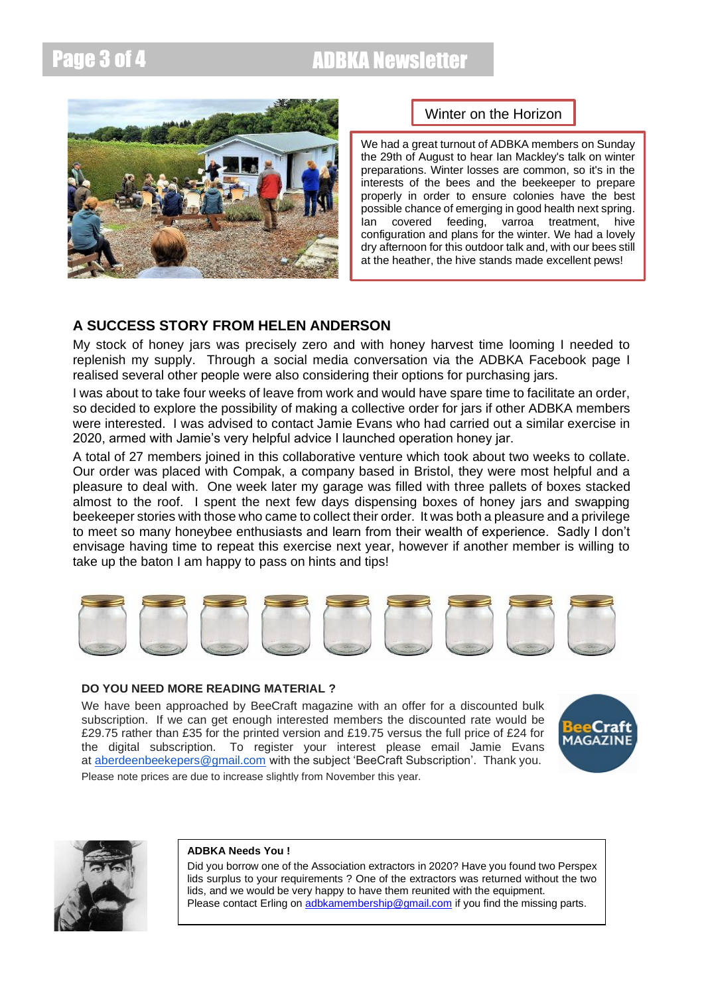# Page 3 of 4 ADBKA Newsletter



# Winter on the Horizon

We had a great turnout of ADBKA members on Sunday the 29th of August to hear Ian Mackley's talk on winter preparations. Winter losses are common, so it's in the interests of the bees and the beekeeper to prepare properly in order to ensure colonies have the best possible chance of emerging in good health next spring. Ian covered feeding, varroa treatment, hive configuration and plans for the winter. We had a lovely dry afternoon for this outdoor talk and, with our bees still at the heather, the hive stands made excellent pews!

# **A SUCCESS STORY FROM HELEN ANDERSON**

My stock of honey jars was precisely zero and with honey harvest time looming I needed to replenish my supply. Through a social media conversation via the ADBKA Facebook page I realised several other people were also considering their options for purchasing jars.

I was about to take four weeks of leave from work and would have spare time to facilitate an order, so decided to explore the possibility of making a collective order for jars if other ADBKA members were interested. I was advised to contact Jamie Evans who had carried out a similar exercise in 2020, armed with Jamie's very helpful advice I launched operation honey jar.

A total of 27 members joined in this collaborative venture which took about two weeks to collate. Our order was placed with Compak, a company based in Bristol, they were most helpful and a pleasure to deal with. One week later my garage was filled with three pallets of boxes stacked almost to the roof. I spent the next few days dispensing boxes of honey jars and swapping beekeeper stories with those who came to collect their order. It was both a pleasure and a privilege to meet so many honeybee enthusiasts and learn from their wealth of experience. Sadly I don't envisage having time to repeat this exercise next year, however if another member is willing to take up the baton I am happy to pass on hints and tips!



## **DO YOU NEED MORE READING MATERIAL ?**

We have been approached by BeeCraft magazine with an offer for a discounted bulk subscription. If we can get enough interested members the discounted rate would be £29.75 rather than £35 for the printed version and £19.75 versus the full price of £24 for the digital subscription. To register your interest please email Jamie Evans at [aberdeenbeekepers@gmail.com](mailto:aberdeenbeekepers@gmail.com) with the subject 'BeeCraft Subscription'. Thank you. Please note prices are due to increase slightly from November this year.





### **ADBKA Needs You !**

Did you borrow one of the Association extractors in 2020? Have you found two Perspex lids surplus to your requirements ? One of the extractors was returned without the two lids, and we would be very happy to have them reunited with the equipment. Please contact Erling on [adbkamembership@gmail.com](mailto:adbkamembership@gmail.com) if you find the missing parts.